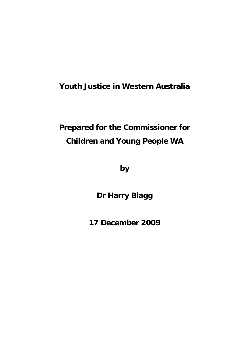# **Youth Justice in Western Australia**

# **Prepared for the Commissioner for Children and Young People WA**

**by** 

**Dr Harry Blagg** 

**17 December 2009**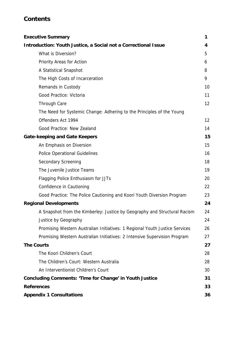## **Contents**

| <b>Executive Summary</b>                                                    | 1  |
|-----------------------------------------------------------------------------|----|
| Introduction: Youth Justice, a Social not a Correctional Issue              | 4  |
| What is Diversion?                                                          | 5  |
| Priority Areas for Action                                                   | 6  |
| A Statistical Snapshot                                                      | 8  |
| The High Costs of Incarceration                                             | 9  |
| Remands in Custody                                                          | 10 |
| Good Practice: Victoria                                                     | 11 |
| <b>Through Care</b>                                                         | 12 |
| The Need for Systemic Change: Adhering to the Principles of the Young       |    |
| Offenders Act 1994                                                          | 12 |
| Good Practice: New Zealand                                                  | 14 |
| <b>Gate-keeping and Gate Keepers</b>                                        | 15 |
| An Emphasis on Diversion                                                    | 15 |
| <b>Police Operational Guidelines</b>                                        | 16 |
| <b>Secondary Screening</b>                                                  | 18 |
| The Juvenile Justice Teams                                                  | 19 |
| Flagging Police Enthusiasm for JJTs                                         | 20 |
| Confidence in Cautioning                                                    | 22 |
| Good Practice: The Police Cautioning and Koori Youth Diversion Program      | 23 |
| <b>Regional Developments</b>                                                | 24 |
| A Snapshot from the Kimberley: Justice by Geography and Structural Racism   | 24 |
| Justice by Geography                                                        | 24 |
| Promising Western Australian Initiatives: 1 Regional Youth Justice Services | 26 |
| Promising Western Australian Initiatives: 2 Intensive Supervision Program   | 27 |
| <b>The Courts</b>                                                           | 27 |
| The Koori Children's Court                                                  | 28 |
| The Children's Court: Western Australia                                     | 28 |
| An Interventionist Children's Court                                         | 30 |
| <b>Concluding Comments: 'Time for Change' in Youth Justice</b>              | 31 |
| <b>References</b>                                                           | 33 |
| <b>Appendix 1 Consultations</b>                                             | 36 |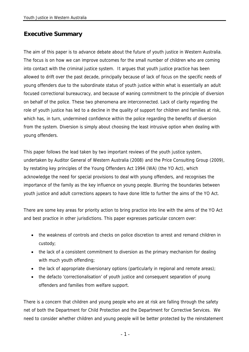### **Executive Summary**

The aim of this paper is to advance debate about the future of youth justice in Western Australia. The focus is on how we can improve outcomes for the small number of children who are coming into contact with the criminal justice system. It argues that youth justice practice has been allowed to drift over the past decade, principally because of lack of focus on the specific needs of young offenders due to the subordinate status of youth justice within what is essentially an adult focused correctional bureaucracy, and because of waning commitment to the principle of diversion on behalf of the police. These two phenomena are interconnected. Lack of clarity regarding the role of youth justice has led to a decline in the quality of support for children and families at risk, which has, in turn, undermined confidence within the police regarding the benefits of diversion from the system. Diversion is simply about choosing the least intrusive option when dealing with young offenders.

This paper follows the lead taken by two important reviews of the youth justice system, undertaken by Auditor General of Western Australia (2008) and the Price Consulting Group (2009), by restating key principles of the Young Offenders Act 1994 (WA) (the YO Act), which acknowledge the need for special provisions to deal with young offenders, and recognises the importance of the family as the key influence on young people. Blurring the boundaries between youth justice and adult corrections appears to have done little to further the aims of the YO Act.

There are some key areas for priority action to bring practice into line with the aims of the YO Act and best practice in other jurisdictions. This paper expresses particular concern over:

- the weakness of controls and checks on police discretion to arrest and remand children in custody;
- the lack of a consistent commitment to diversion as the primary mechanism for dealing with much youth offending;
- the lack of appropriate diversionary options (particularly in regional and remote areas);
- the defacto 'correctionalisation' of youth justice and consequent separation of young offenders and families from welfare support.

There is a concern that children and young people who are at risk are falling through the safety net of both the Department for Child Protection and the Department for Corrective Services. We need to consider whether children and young people will be better protected by the reinstatement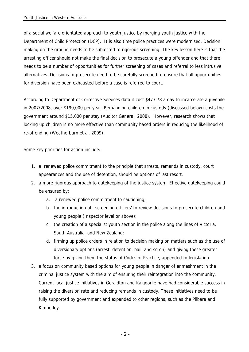of a social welfare orientated approach to youth justice by merging youth justice with the Department of Child Protection (DCP). It is also time police practices were modernised. Decision making on the ground needs to be subjected to rigorous screening. The key lesson here is that the arresting officer should not make the final decision to prosecute a young offender and that there needs to be a number of opportunities for further screening of cases and referral to less intrusive alternatives. Decisions to prosecute need to be carefully screened to ensure that all opportunities for diversion have been exhausted before a case is referred to court.

According to Department of Corrective Services data it cost \$473.78 a day to incarcerate a juvenile in 2007/2008, over \$190,000 per year. Remanding children in custody (discussed below) costs the government around \$15,000 per stay (Auditor General, 2008). However, research shows that locking up children is no more effective than community based orders in reducing the likelihood of re-offending (Weatherburn et al, 2009).

Some key priorities for action include:

- 1. a renewed police commitment to the principle that arrests, remands in custody, court appearances and the use of detention, should be options of last resort.
- 2. a more rigorous approach to gatekeeping of the justice system. Effective gatekeeping could be ensured by:
	- a. a renewed police commitment to cautioning;
	- b. the introduction of 'screening officers' to review decisions to prosecute children and young people (Inspector level or above);
	- c. the creation of a specialist youth section in the police along the lines of Victoria, South Australia, and New Zealand;
	- d. firming up police orders in relation to decision making on matters such as the use of diversionary options (arrest, detention, bail, and so on) and giving these greater force by giving them the status of Codes of Practice, appended to legislation.
- 3. a focus on community based options for young people in danger of enmeshment in the criminal justice system with the aim of ensuring their reintegration into the community. Current local justice initiatives in Geraldton and Kalgoorlie have had considerable success in raising the diversion rate and reducing remands in custody. These initiatives need to be fully supported by government and expanded to other regions, such as the Pilbara and Kimberley.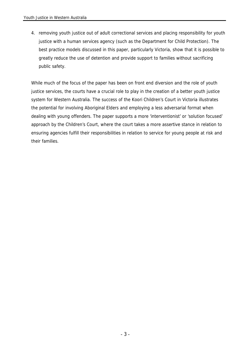4. removing youth justice out of adult correctional services and placing responsibility for youth justice with a human services agency (such as the Department for Child Protection). The best practice models discussed in this paper, particularly Victoria, show that it is possible to greatly reduce the use of detention and provide support to families without sacrificing public safety.

While much of the focus of the paper has been on front end diversion and the role of youth justice services, the courts have a crucial role to play in the creation of a better youth justice system for Western Australia. The success of the Koori Children's Court in Victoria illustrates the potential for involving Aboriginal Elders and employing a less adversarial format when dealing with young offenders. The paper supports a more 'interventionist' or 'solution focused' approach by the Children's Court, where the court takes a more assertive stance in relation to ensuring agencies fulfill their responsibilities in relation to service for young people at risk and their families.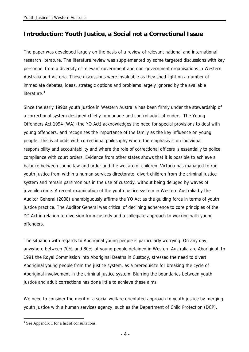### **Introduction: Youth Justice, a Social not a Correctional Issue**

The paper was developed largely on the basis of a review of relevant national and international research literature. The literature review was supplemented by some targeted discussions with key personnel from a diversity of relevant government and non-government organisations in Western Australia and Victoria. These discussions were invaluable as they shed light on a number of immediate debates, ideas, strategic options and problems largely ignored by the available literature. $1$ 

Since the early 1990s youth justice in Western Australia has been firmly under the stewardship of a correctional system designed chiefly to manage and control adult offenders. The Young Offenders Act 1994 (WA) (the YO Act) acknowledges the need for special provisions to deal with young offenders, and recognises the importance of the family as the key influence on young people. This is at odds with correctional philosophy where the emphasis is on individual responsibility and accountability and where the role of correctional officers is essentially to police compliance with court orders. Evidence from other states shows that it is possible to achieve a balance between sound law and order and the welfare of children. Victoria has managed to run youth justice from within a human services directorate, divert children from the criminal justice system and remain parsimonious in the use of custody, without being deluged by waves of juvenile crime. A recent examination of the youth justice system in Western Australia by the Auditor General (2008) unambiguously affirms the YO Act as the guiding force in terms of youth justice practice. The Auditor General was critical of declining adherence to core principles of the YO Act in relation to diversion from custody and a collegiate approach to working with young offenders.

The situation with regards to Aboriginal young people is particularly worrying. On any day, anywhere between 70% and 80% of young people detained in Western Australia are Aboriginal. In 1991 the Royal Commission into Aboriginal Deaths in Custody, stressed the need to divert Aboriginal young people from the justice system, as a prerequisite for breaking the cycle of Aboriginal involvement in the criminal justice system. Blurring the boundaries between youth justice and adult corrections has done little to achieve these aims.

We need to consider the merit of a social welfare orientated approach to youth justice by merging youth justice with a human services agency, such as the Department of Child Protection (DCP).

 $\overline{a}$ 

<span id="page-5-0"></span><sup>&</sup>lt;sup>1</sup> See Appendix 1 for a list of consultations.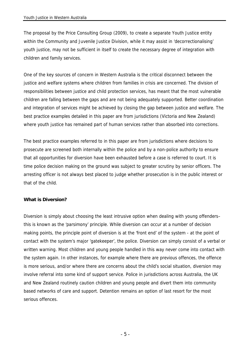The proposal by the Price Consulting Group (2009), to create a separate Youth Justice entity within the Community and Juvenile Justice Division, while it may assist in 'decorrectionalising' youth justice, may not be sufficient in itself to create the necessary degree of integration with children and family services.

One of the key sources of concern in Western Australia is the critical disconnect between the justice and welfare systems where children from families in crisis are concerned. The division of responsibilities between justice and child protection services, has meant that the most vulnerable children are falling between the gaps and are not being adequately supported. Better coordination and integration of services might be achieved by closing the gap between justice and welfare. The best practice examples detailed in this paper are from jurisdictions (Victoria and New Zealand) where youth justice has remained part of human services rather than absorbed into corrections.

The best practice examples referred to in this paper are from jurisdictions where decisions to prosecute are screened both internally within the police and by a non-police authority to ensure that all opportunities for diversion have been exhausted before a case is referred to court. It is time police decision making on the ground was subject to greater scrutiny by senior officers. The arresting officer is not always best placed to judge whether prosecution is in the public interest or that of the child.

#### **What is Diversion?**

Diversion is simply about choosing the least intrusive option when dealing with young offenders– this is known as the 'parsimony' principle. While diversion can occur at a number of decision making points, the principle point of diversion is at the 'front end' of the system - at the point of contact with the system's major 'gatekeeper', the police. Diversion can simply consist of a verbal or written warning. Most children and young people handled in this way never come into contact with the system again. In other instances, for example where there are previous offences, the offence is more serious, and/or where there are concerns about the child's social situation, diversion may involve referral into some kind of support service. Police in jurisdictions across Australia, the UK and New Zealand routinely caution children and young people and divert them into community based networks of care and support. Detention remains an option of last resort for the most serious offences.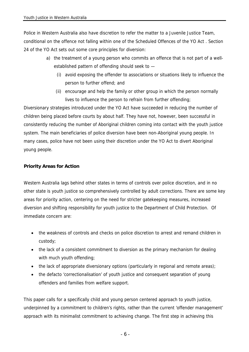Police in Western Australia also have discretion to refer the matter to a Juvenile Justice Team, conditional on the offence not falling within one of the Scheduled Offences of the YO Act . Section 24 of the YO Act sets out some core principles for diversion:

- a) the treatment of a young person who commits an offence that is not part of a wellestablished pattern of offending should seek to —
	- (i) avoid exposing the offender to associations or situations likely to influence the person to further offend; and
	- (ii) encourage and help the family or other group in which the person normally lives to influence the person to refrain from further offending;

Diversionary strategies introduced under the YO Act have succeeded in reducing the number of children being placed before courts by about half. They have not, however, been successful in consistently reducing the number of Aboriginal children coming into contact with the youth justice system. The main beneficiaries of police diversion have been non-Aboriginal young people. In many cases, police have not been using their discretion under the YO Act to divert Aboriginal young people.

#### **Priority Areas for Action**

Western Australia lags behind other states in terms of controls over police discretion, and in no other state is youth justice so comprehensively controlled by adult corrections. There are some key areas for priority action, centering on the need for stricter gatekeeping measures, increased diversion and shifting responsibility for youth justice to the Department of Child Protection. Of immediate concern are:

- the weakness of controls and checks on police discretion to arrest and remand children in custody;
- the lack of a consistent commitment to diversion as the primary mechanism for dealing with much youth offending;
- the lack of appropriate diversionary options (particularly in regional and remote areas);
- the defacto 'correctionalisation' of youth justice and consequent separation of young offenders and families from welfare support.

This paper calls for a specifically child and young person centered approach to youth justice, underpinned by a commitment to children's rights, rather than the current 'offender management' approach with its minimalist commitment to achieving change. The first step in achieving this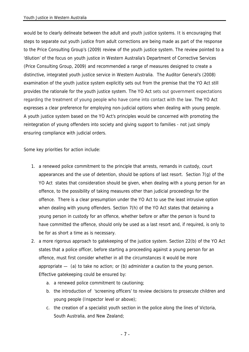would be to clearly delineate between the adult and youth justice systems. It is encouraging that steps to separate out youth justice from adult corrections are being made as part of the response to the Price Consulting Group's (2009) review of the youth justice system. The review pointed to a 'dilution' of the focus on youth justice in Western Australia's Department of Corrective Services (Price Consulting Group, 2009) and recommended a range of measures designed to create a distinctive, integrated youth justice service in Western Australia. The Auditor General's (2008) examination of the youth justice system explicitly sets out from the premise that the YO Act still provides the rationale for the youth justice system. The YO Act sets out government expectations regarding the treatment of young people who have come into contact with the law. The YO Act expresses a clear preference for employing non-judicial options when dealing with young people. A youth justice system based on the YO Act's principles would be concerned with promoting the reintegration of young offenders into society and giving support to families - not just simply ensuring compliance with judicial orders.

Some key priorities for action include:

- 1. a renewed police commitment to the principle that arrests, remands in custody, court appearances and the use of detention, should be options of last resort. Section  $7(q)$  of the YO Act states that consideration should be given, when dealing with a young person for an offence, to the possibility of taking measures other than judicial proceedings for the offence. There is a clear presumption under the YO Act to use the least intrusive option when dealing with young offenders. Section 7(h) of the YO Act states that detaining a young person in custody for an offence, whether before or after the person is found to have committed the offence, should only be used as a last resort and, if required, is only to be for as short a time as is necessary.
- 2. a more rigorous approach to gatekeeping of the justice system. Section 22(b) of the YO Act states that a police officer, before starting a proceeding against a young person for an offence, must first consider whether in all the circumstances it would be more appropriate  $-$  (a) to take no action; or (b) administer a caution to the young person. Effective gatekeeping could be ensured by:
	- a. a renewed police commitment to cautioning;
	- b. the introduction of 'screening officers' to review decisions to prosecute children and young people (Inspector level or above);
	- c. the creation of a specialist youth section in the police along the lines of Victoria, South Australia, and New Zealand;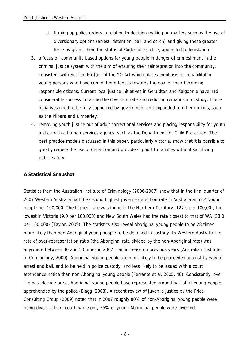- d. firming up police orders in relation to decision making on matters such as the use of diversionary options (arrest, detention, bail, and so on) and giving these greater force by giving them the status of Codes of Practice, appended to legislation
- 3. a focus on community based options for young people in danger of enmeshment in the criminal justice system with the aim of ensuring their reintegration into the community, consistent with Section  $6(d)(iii)$  of the YO Act which places emphasis on rehabilitating young persons who have committed offences towards the goal of their becoming responsible citizens. Current local justice initiatives in Geraldton and Kalgoorlie have had considerable success in raising the diversion rate and reducing remands in custody. These initiatives need to be fully supported by government and expanded to other regions, such as the Pilbara and Kimberley.
- 4. removing youth justice out of adult correctional services and placing responsibility for youth justice with a human services agency, such as the Department for Child Protection. The best practice models discussed in this paper, particularly Victoria, show that it is possible to greatly reduce the use of detention and provide support to families without sacrificing public safety.

#### **A Statistical Snapshot**

Statistics from the Australian Institute of Criminology (2006-2007) show that in the final quarter of 2007 Western Australia had the second highest juvenile detention rate in Australia at 59.4 young people per 100,000. The highest rate was found in the Northern Territory (127.9 per 100,00), the lowest in Victoria (9.0 per 100,000) and New South Wales had the rate closest to that of WA (38.0 per 100,000) (Taylor, 2009). The statistics also reveal Aboriginal young people to be 28 times more likely than non-Aboriginal young people to be detained in custody. In Western Australia the rate of over-representation ratio (the Aboriginal rate divided by the non-Aboriginal rate) was anywhere between 40 and 50 times in 2007 – an increase on previous years (Australian Institute of Criminology, 2009). Aboriginal young people are more likely to be proceeded against by way of arrest and bail, and to be held in police custody, and less likely to be issued with a court attendance notice than non-Aboriginal young people (Ferrante et al, 2005, 46). Consistently, over the past decade or so, Aboriginal young people have represented around half of all young people apprehended by the police (Blagg, 2008). A recent review of juvenile justice by the Price Consulting Group (2009) noted that in 2007 roughly 80% of non-Aboriginal young people were being diverted from court, while only 55% of young Aboriginal people were diverted.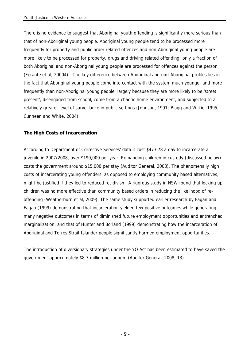There is no evidence to suggest that Aboriginal youth offending is significantly more serious than that of non-Aboriginal young people. Aboriginal young people tend to be processed more frequently for property and public order related offences and non-Aboriginal young people are more likely to be processed for property, drugs and driving related offending: only a fraction of both Aboriginal and non-Aboriginal young people are processed for offences against the person (Ferante et al, 20004). The key difference between Aboriginal and non-Aboriginal profiles lies in the fact that Aboriginal young people come into contact with the system much younger and more frequently than non-Aboriginal young people, largely because they are more likely to be 'street present', disengaged from school, come from a chaotic home environment, and subjected to a relatively greater level of surveillance in public settings (Johnson, 1991; Blagg and Wilkie, 1995; Cunneen and White, 2004).

#### **The High Costs of Incarceration**

According to Department of Corrective Services' data it cost \$473.78 a day to incarcerate a juvenile in 2007/2008, over \$190,000 per year. Remanding children in custody (discussed below) costs the government around \$15,000 per stay (Auditor General, 2008). The phenomenally high costs of incarcerating young offenders, as opposed to employing community based alternatives, might be justified if they led to reduced recidivism. A rigorous study in NSW found that locking up children was no more effective than community based orders in reducing the likelihood of reoffending (Weatherburn et al, 2009). The same study supported earlier research by Fagan and Fagan (1999) demonstrating that incarceration yielded few positive outcomes while generating many negative outcomes in terms of diminished future employment opportunities and entrenched marginalization, and that of Hunter and Borland (1999) demonstrating how the incarceration of Aboriginal and Torres Strait Islander people significantly harmed employment opportunities.

The introduction of diversionary strategies under the YO Act has been estimated to have saved the government approximately \$8.7 million per annum (Auditor General, 2008, 13).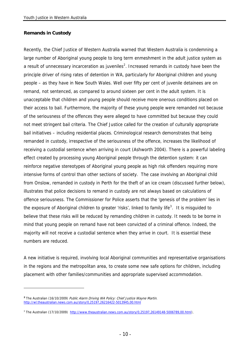#### **Remands in Custody**

Recently, the Chief Justice of Western Australia warned that Western Australia is condemning a large number of Aboriginal young people to long term enmeshment in the adult justice system as a result of unnecessary incarceration as juveniles<sup>[2](#page-11-0)</sup>. Increased remands in custody have been the principle driver of rising rates of detention in WA, particularly for Aboriginal children and young people – as they have in New South Wales. Well over fifty per cent of juvenile detainees are on remand, not sentenced, as compared to around sixteen per cent in the adult system. It is unacceptable that children and young people should receive more onerous conditions placed on their access to bail. Furthermore, the majority of these young people were remanded not because of the seriousness of the offences they were alleged to have committed but because they could not meet stringent bail criteria. The Chief Justice called for the creation of culturally appropriate bail initiatives – including residential places. Criminological research demonstrates that being remanded in custody, irrespective of the seriousness of the offence, increases the likelihood of receiving a custodial sentence when arriving in court (Ashworth 2004). There is a powerful labeling effect created by processing young Aboriginal people through the detention system: it can reinforce negative stereotypes of Aboriginal young people as high risk offenders requiring more intensive forms of control than other sections of society. The case involving an Aboriginal child from Onslow, remanded in custody in Perth for the theft of an ice cream (discussed further below), illustrates that police decisions to remand in custody are not always based on calculations of offence seriousness. The Commissioner for Police asserts that the 'genesis of the problem' lies in the exposure of Aboriginal children to greater 'risks', linked to family life<sup>[3](#page-11-1)</sup>. It is misguided to believe that these risks will be reduced by remanding children in custody. It needs to be borne in mind that young people on remand have not been convicted of a criminal offence. Indeed, the majority will not receive a custodial sentence when they arrive in court. It is essential these numbers are reduced.

A new initiative is required, involving local Aboriginal communities and representative organisations in the regions and the metropolitan area, to create some new safe options for children, including placement with other families/communities and appropriate supervised accommodation.

 $\overline{a}$ 

<span id="page-11-0"></span>**<sup>2</sup>** The Australian (16/10/2009) Public Alarm Driving WA Policy: Chief Justice Wayne Martin. <http://wl.theaustralian.news.com.au/story/0,25197,26216422-5013945,00.html>

<span id="page-11-1"></span><sup>&</sup>lt;sup>3</sup> The Australian (17/10/2009) [http://www.theaustralian.news.com.au/story/0,25197,26149148-5006789,00.html\)](http://www.theaustralian.news.com.au/story/0,25197,26149148-5006789,00.html),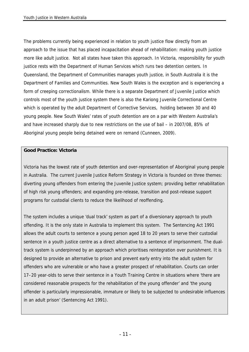The problems currently being experienced in relation to youth justice flow directly from an approach to the issue that has placed incapacitation ahead of rehabilitation: making youth justice more like adult justice. Not all states have taken this approach. In Victoria, responsibility for youth justice rests with the Department of Human Services which runs two detention centers. In Queensland, the Department of Communities manages youth justice, in South Australia it is the Department of Families and Communities. New South Wales is the exception and is experiencing a form of creeping correctionalism. While there is a separate Department of Juvenile Justice which controls most of the youth justice system there is also the Kariong Juvenile Correctional Centre which is operated by the adult Department of Corrective Services, holding between 30 and 40 young people. New South Wales' rates of youth detention are on a par with Western Australia's and have increased sharply due to new restrictions on the use of bail – in 2007/08, 85% of Aboriginal young people being detained were on remand (Cunneen, 2009).

#### **Good Practice: Victoria**

Victoria has the lowest rate of youth detention and over-representation of Aboriginal young people in Australia. The current Juvenile Justice Reform Strategy in Victoria is founded on three themes: diverting young offenders from entering the Juvenile Justice system; providing better rehabilitation of high risk young offenders; and expanding pre-release, transition and post-release support programs for custodial clients to reduce the likelihood of reoffending.

The system includes a unique 'dual track' system as part of a diversionary approach to youth offending. It is the only state in Australia to implement this system. The Sentencing Act 1991 allows the adult courts to sentence a young person aged 18 to 20 years to serve their custodial sentence in a youth justice centre as a direct alternative to a sentence of imprisonment. The dualtrack system is underpinned by an approach which prioritises reintegration over punishment. It is designed to provide an alternative to prison and prevent early entry into the adult system for offenders who are vulnerable or who have a greater prospect of rehabilitation. Courts can order 17–20 year-olds to serve their sentence in a Youth Training Centre in situations where 'there are considered reasonable prospects for the rehabilitation of the young offender' and 'the young offender is particularly impressionable, immature or likely to be subjected to undesirable influences in an adult prison' (Sentencing Act 1991).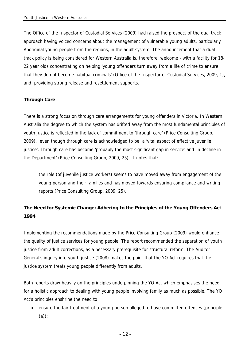The Office of the Inspector of Custodial Services (2009) had raised the prospect of the dual track approach having voiced concerns about the management of vulnerable young adults, particularly Aboriginal young people from the regions, in the adult system. The announcement that a dual track policy is being considered for Western Australia is, therefore, welcome - with a facility for 18- 22 year olds concentrating on helping 'young offenders turn away from a life of crime to ensure that they do not become habitual criminals' (Office of the Inspector of Custodial Services, 2009, 1), and providing strong release and resettlement supports.

#### **Through Care**

There is a strong focus on through care arrangements for young offenders in Victoria. In Western Australia the degree to which the system has drifted away from the most fundamental principles of youth justice is reflected in the lack of commitment to 'through care' (Price Consulting Group, 2009), even though through care is acknowledged to be a 'vital aspect of effective juvenile justice'. Through care has become 'probably the most significant gap in service' and 'in decline in the Department' (Price Consulting Group, 2009, 25). It notes that:

the role (of juvenile justice workers) seems to have moved away from engagement of the young person and their families and has moved towards ensuring compliance and writing reports (Price Consulting Group, 2009, 25).

### **The Need for Systemic Change: Adhering to the Principles of the Young Offenders Act 1994**

Implementing the recommendations made by the Price Consulting Group (2009) would enhance the quality of justice services for young people. The report recommended the separation of youth justice from adult corrections, as a necessary prerequisite for structural reform. The Auditor General's inquiry into youth justice (2008) makes the point that the YO Act requires that the justice system treats young people differently from adults.

Both reports draw heavily on the principles underpinning the YO Act which emphasises the need for a holistic approach to dealing with young people involving family as much as possible. The YO Act's principles enshrine the need to:

• ensure the fair treatment of a young person alleged to have committed offences (principle (a));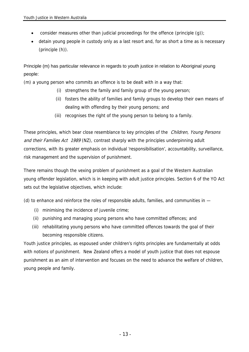- consider measures other than judicial proceedings for the offence (principle  $(q)$ );
- detain young people in custody only as a last resort and, for as short a time as is necessary (principle (h)).

Principle (m) has particular relevance in regards to youth justice in relation to Aboriginal young people:

(m) a young person who commits an offence is to be dealt with in a way that:

- (i) strengthens the family and family group of the young person;
- (ii) fosters the ability of families and family groups to develop their own means of dealing with offending by their young persons; and
- (iii) recognises the right of the young person to belong to a family.

These principles, which bear close resemblance to key principles of the *Children, Young Persons* and their Families Act 1989 (NZ), contrast sharply with the principles underpinning adult corrections, with its greater emphasis on individual 'responsibilisation', accountability, surveillance, risk management and the supervision of punishment.

There remains though the vexing problem of punishment as a goal of the Western Australian young offender legislation, which is in keeping with adult justice principles. Section 6 of the YO Act sets out the legislative objectives, which include:

(d) to enhance and reinforce the roles of responsible adults, families, and communities in —

- (i) minimising the incidence of juvenile crime;
- (ii) punishing and managing young persons who have committed offences; and
- (iii) rehabilitating young persons who have committed offences towards the goal of their becoming responsible citizens.

Youth justice principles, as espoused under children's rights principles are fundamentally at odds with notions of punishment. New Zealand offers a model of youth justice that does not espouse punishment as an aim of intervention and focuses on the need to advance the welfare of children, young people and family.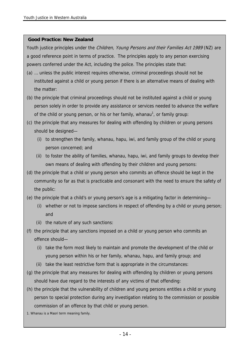#### **Good Practice: New Zealand**

Youth justice principles under the Children, Young Persons and their Families Act 1989 (NZ) are a good reference point in terms of practice. The principles apply to any person exercising powers conferred under the Act, including the police. The principles state that:

- (a) … unless the public interest requires otherwise, criminal proceedings should not be instituted against a child or young person if there is an alternative means of dealing with the matter:
- (b) the principle that criminal proceedings should not be instituted against a child or young person solely in order to provide any assistance or services needed to advance the welfare of the child or young person, or his or her family, whanau<sup>1</sup>, or family group:
- (c) the principle that any measures for dealing with offending by children or young persons should be designed—
	- (i) to strengthen the family, whanau, hapu, iwi, and family group of the child or young person concerned; and
	- (ii) to foster the ability of families, whanau, hapu, iwi, and family groups to develop their own means of dealing with offending by their children and young persons:
- (d) the principle that a child or young person who commits an offence should be kept in the community so far as that is practicable and consonant with the need to ensure the safety of the public:
- (e) the principle that a child's or young person's age is a mitigating factor in determining—
	- (i) whether or not to impose sanctions in respect of offending by a child or young person; and
	- (ii) the nature of any such sanctions:
- (f) the principle that any sanctions imposed on a child or young person who commits an offence should—
	- (i) take the form most likely to maintain and promote the development of the child or young person within his or her family, whanau, hapu, and family group; and
	- (ii) take the least restrictive form that is appropriate in the circumstances:
- (g) the principle that any measures for dealing with offending by children or young persons should have due regard to the interests of any victims of that offending:
- (h) the principle that the vulnerability of children and young persons entitles a child or young person to special protection during any investigation relating to the commission or possible commission of an offence by that child or young person.
- 1. Whanau is a Maori term meaning family.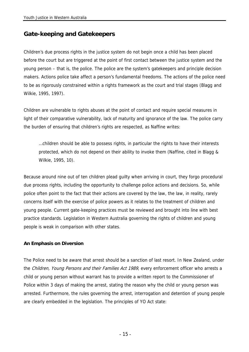### **Gate-keeping and Gatekeepers**

Children's due process rights in the justice system do not begin once a child has been placed before the court but are triggered at the point of first contact between the justice system and the young person – that is, the police. The police are the system's gatekeepers and principle decision makers. Actions police take affect a person's fundamental freedoms. The actions of the police need to be as rigorously constrained within a rights framework as the court and trial stages (Blagg and Wilkie, 1995, 1997).

Children are vulnerable to rights abuses at the point of contact and require special measures in light of their comparative vulnerability, lack of maturity and ignorance of the law. The police carry the burden of ensuring that children's rights are respected, as Naffine writes:

…children should be able to possess rights, in particular the rights to have their interests protected, which do not depend on their ability to invoke them (Naffine, cited in Blagg & Wilkie, 1995, 10).

Because around nine out of ten children plead guilty when arriving in court, they forgo procedural due process rights, including the opportunity to challenge police actions and decisions. So, while police often point to the fact that their actions are covered by the law, the law, in reality, rarely concerns itself with the exercise of police powers as it relates to the treatment of children and young people. Current gate-keeping practices must be reviewed and brought into line with best practice standards. Legislation in Western Australia governing the rights of children and young people is weak in comparison with other states.

#### **An Emphasis on Diversion**

The Police need to be aware that arrest should be a sanction of last resort. In New Zealand, under the Children, Young Persons and their Families Act 1989, every enforcement officer who arrests a child or young person without warrant has to provide a written report to the Commissioner of Police within 3 days of making the arrest, stating the reason why the child or young person was arrested. Furthermore, the rules governing the arrest, interrogation and detention of young people are clearly embedded in the legislation. The principles of YO Act state: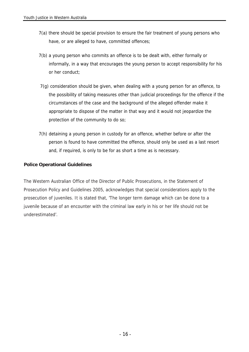- 7(a) there should be special provision to ensure the fair treatment of young persons who have, or are alleged to have, committed offences;
- 7(b) a young person who commits an offence is to be dealt with, either formally or informally, in a way that encourages the young person to accept responsibility for his or her conduct;
- 7(g) consideration should be given, when dealing with a young person for an offence, to the possibility of taking measures other than judicial proceedings for the offence if the circumstances of the case and the background of the alleged offender make it appropriate to dispose of the matter in that way and it would not jeopardize the protection of the community to do so;
- 7(h) detaining a young person in custody for an offence, whether before or after the person is found to have committed the offence, should only be used as a last resort and, if required, is only to be for as short a time as is necessary.

#### **Police Operational Guidelines**

The Western Australian Office of the Director of Public Prosecutions, in the Statement of Prosecution Policy and Guidelines 2005, acknowledges that special considerations apply to the prosecution of juveniles. It is stated that, 'The longer term damage which can be done to a juvenile because of an encounter with the criminal law early in his or her life should not be underestimated'.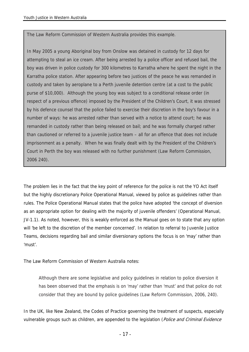The Law Reform Commission of Western Australia provides this example.

In May 2005 a young Aboriginal boy from Onslow was detained in custody for 12 days for attempting to steal an ice cream. After being arrested by a police officer and refused bail, the boy was driven in police custody for 300 kilometres to Karratha where he spent the night in the Karratha police station. After appearing before two justices of the peace he was remanded in custody and taken by aeroplane to a Perth juvenile detention centre (at a cost to the public purse of \$10,000). Although the young boy was subject to a conditional release order (in respect of a previous offence) imposed by the President of the Children's Court, it was stressed by his defence counsel that the police failed to exercise their discretion in the boy's favour in a number of ways: he was arrested rather than served with a notice to attend court; he was remanded in custody rather than being released on bail; and he was formally charged rather than cautioned or referred to a juvenile justice team – all for an offence that does not include imprisonment as a penalty. When he was finally dealt with by the President of the Children's Court in Perth the boy was released with no further punishment (Law Reform Commission, 2006 240).

The problem lies in the fact that the key point of reference for the police is not the YO Act itself but the highly discretionary Police Operational Manual, viewed by police as guidelines rather than rules. The Police Operational Manual states that the police have adopted 'the concept of diversion as an appropriate option for dealing with the majority of juvenile offenders' (Operational Manual, JV-1.1). As noted, however, this is weakly enforced as the Manual goes on to state that any option will 'be left to the discretion of the member concerned'. In relation to referral to Juvenile Justice Teams, decisions regarding bail and similar diversionary options the focus is on 'may' rather than 'must'.

The Law Reform Commission of Western Australia notes:

Although there are some legislative and policy guidelines in relation to police diversion it has been observed that the emphasis is on 'may' rather than 'must' and that police do not consider that they are bound by police guidelines (Law Reform Commission, 2006, 240).

In the UK, like New Zealand, the Codes of Practice governing the treatment of suspects, especially vulnerable groups such as children, are appended to the legislation (Police and Criminal Evidence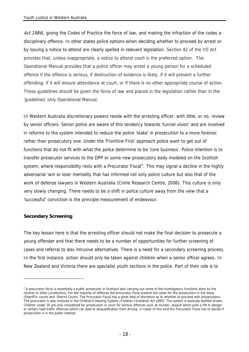Act 1984), giving the Codes of Practice the force of law, and making the infraction of the codes a disciplinary offence. In other states police options when deciding whether to proceed by arrest or by issuing a notice to attend are clearly spelled in relevant legislation. Section 42 of the YO Act provides that, unless inappropriate, a notice to attend court is the preferred option. The Operational Manual provides that a police officer may arrest a young person for a scheduled offence if the offence is serious, if destruction of evidence is likely, if it will prevent a further offending; if it will ensure attendance at court, or if there is no other appropriate course of action. These guidelines should be given the force of law and placed in the legislation rather than in the 'guidelines' only Operational Manual.

In Western Australia discretionary powers reside with the arresting officer, with little, or no, review by senior officers. Senior police are aware of this tendency towards 'tunnel vision' and are involved in reforms to the system intended to reduce the police 'stake' in prosecution to a more forensic rather than prosecutory one. Under the 'Frontline First' approach police want to get out of functions that do not fit with what the police determine to be 'core business'. Police intention is to transfer prosecutor services to the DPP or some new prosecutory body modeled on the Scottish system, where responsibility rests with a Procurator Fiscal<sup>[4](#page-19-0)</sup>. This may signal a decline in the highly adversarial 'win or lose' mentality that has informed not only police culture but also that of the work of defense lawyers in Western Australia (Crime Research Centre, 2006). This culture is only very slowly changing. There needs to be a shift in police culture away from the view that a 'successful' conviction is the principle measurement of endeavour.

#### **Secondary Screening**

 $\overline{a}$ 

The key lesson here is that the arresting officer should not make the final decision to prosecute a young offender and that there needs to be a number of opportunities for further screening of cases and referral to less intrusive alternatives. There is a need for a secondary screening process. In the first instance, action should only be taken against children when a senior officer agrees. In New Zealand and Victoria there are specialist youth sections in the police. Part of their role is to

<span id="page-19-0"></span><sup>4</sup> A procurator fiscal is essentially a public prosecutor in Scotland also carrying out some of the investigatory functions done by the coroner in other jurisdictions. For the majority of offences the procurator fiscal present the cases for the prosecution in the lower (Sheriff's) courts and District Courts. The Procurator Fiscal has a great deal of discretion as to whether to proceed with prosecutions. The procurator is also involved in the Children's Hearing System *(Children (Scotland) Act 1995)*. The system is basically welfare driven. Children under 16 are only considered for prosecution in court for serious offences such as murder, assault which puts a life in danger or certain road traffic offences which can lead to disqualification from driving. In cases of this kind the Procurator Fiscal has to decide if prosecution is in the public interest.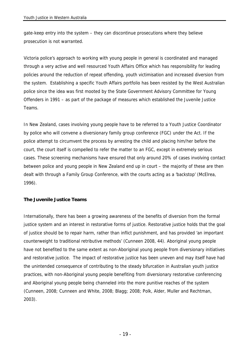gate-keep entry into the system – they can discontinue prosecutions where they believe prosecution is not warranted.

Victoria police's approach to working with young people in general is coordinated and managed through a very active and well resourced Youth Affairs Office which has responsibility for leading policies around the reduction of repeat offending, youth victimisation and increased diversion from the system. Establishing a specific Youth Affairs portfolio has been resisted by the West Australian police since the idea was first mooted by the State Government Advisory Committee for Young Offenders in 1991 – as part of the package of measures which established the Juvenile Justice Teams.

In New Zealand, cases involving young people have to be referred to a Youth Justice Coordinator by police who will convene a diversionary family group conference (FGC) under the Act. If the police attempt to circumvent the process by arresting the child and placing him/her before the court, the court itself is compelled to refer the matter to an FGC, except in extremely serious cases. These screening mechanisms have ensured that only around 20% of cases involving contact between police and young people in New Zealand end up in court – the majority of these are then dealt with through a Family Group Conference, with the courts acting as a 'backstop' (McElrea, 1996).

#### **The Juvenile Justice Teams**

Internationally, there has been a growing awareness of the benefits of diversion from the formal justice system and an interest in restorative forms of justice. Restorative justice holds that the goal of justice should be to repair harm, rather than inflict punishment, and has provided 'an important counterweight to traditional retributive methods' (Cunneen 2008, 44). Aboriginal young people have not benefited to the same extent as non-Aboriginal young people from diversionary initiatives and restorative justice. The impact of restorative justice has been uneven and may itself have had the unintended consequence of contributing to the steady bifurcation in Australian youth justice practices, with non-Aboriginal young people benefiting from diversionary restorative conferencing and Aboriginal young people being channeled into the more punitive reaches of the system (Cunneen, 2008; Cunneen and White, 2008; Blagg; 2008; Polk, Alder, Muller and Rechtman, 2003).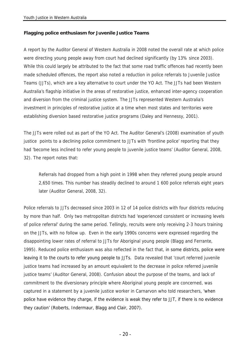#### **Flagging police enthusiasm for Juvenile Justice Teams**

A report by the Auditor General of Western Australia in 2008 noted the overall rate at which police were directing young people away from court had declined significantly (by 13% since 2003). While this could largely be attributed to the fact that some road traffic offences had recently been made scheduled offences, the report also noted a reduction in police referrals to Juvenile Justice Teams (JJTs), which are a key alternative to court under the YO Act. The JJTs had been Western Australia's flagship initiative in the areas of restorative justice, enhanced inter-agency cooperation and diversion from the criminal justice system. The JJTs represented Western Australia's investment in principles of restorative justice at a time when most states and territories were establishing diversion based restorative justice programs (Daley and Hennessy, 2001).

The JJTs were rolled out as part of the YO Act. The Auditor General's (2008) examination of youth justice points to a declining police commitment to JJTs with 'frontline police' reporting that they had 'become less inclined to refer young people to juvenile justice teams' (Auditor General, 2008, 32). The report notes that:

Referrals had dropped from a high point in 1998 when they referred young people around 2,650 times. This number has steadily declined to around 1 600 police referrals eight years later (Auditor General, 2008, 32).

Police referrals to JJTs decreased since 2003 in 12 of 14 police districts with four districts reducing by more than half. Only two metropolitan districts had 'experienced consistent or increasing levels of police referral' during the same period. Tellingly, recruits were only receiving 2-3 hours training on the JJTs, with no follow up. Even in the early 1990s concerns were expressed regarding the disappointing lower rates of referral to JJTs for Aboriginal young people (Blagg and Ferrante, 1995). Reduced police enthusiasm was also reflected in the fact that, in some districts, police were leaving it to the courts to refer young people to JJTs. Data revealed that 'court referred juvenile justice teams had increased by an amount equivalent to the decrease in police referred juvenile justice teams' (Auditor General, 2008). Confusion about the purpose of the teams, and lack of commitment to the diversionary principle where Aboriginal young people are concerned, was captured in a statement by a juvenile justice worker in Carnarvon who told researchers, 'when police have evidence they charge, if the evidence is weak they refer to JJT, if there is no evidence they caution' (Roberts, Indermaur, Blagg and Clair, 2007).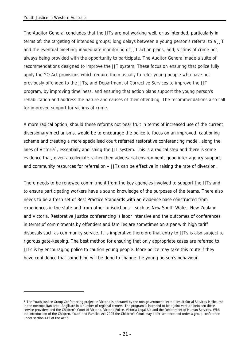$\overline{a}$ 

The Auditor General concludes that the JJTs are not working well, or as intended, particularly in terms of: the targeting of intended groups; long delays between a young person's referral to a JJT and the eventual meeting; inadequate monitoring of JJT action plans, and; victims of crime not always being provided with the opportunity to participate. The Auditor General made a suite of recommendations designed to improve the JJT system. These focus on ensuring that police fully apply the YO Act provisions which require them usually to refer young people who have not previously offended to the JJTs, and Department of Corrective Services to improve the JJT program, by improving timeliness, and ensuring that action plans support the young person's rehabilitation and address the nature and causes of their offending. The recommendations also call for improved support for victims of crime.

A more radical option, should these reforms not bear fruit in terms of increased use of the current diversionary mechanisms, would be to encourage the police to focus on an improved cautioning scheme and creating a more specialised court referred restorative conferencing model, along the lines of Victoria<sup>[5](#page-22-0)</sup>, essentially abolishing the JJT system. This is a radical step and there is some evidence that, given a collegiate rather then adversarial environment, good inter-agency support, and community resources for referral on – JJTs can be effective in raising the rate of diversion.

There needs to be renewed commitment from the key agencies involved to support the JJTs and to ensure participating workers have a sound knowledge of the purposes of the teams. There also needs to be a fresh set of Best Practice Standards with an evidence base constructed from experiences in the state and from other jurisdictions – such as New South Wales, New Zealand and Victoria. Restorative Justice conferencing is labor intensive and the outcomes of conferences in terms of commitments by offenders and families are sometimes on a par with high tariff disposals such as community service. It is imperative therefore that entry to JJTs is also subject to rigorous gate-keeping. The best method for ensuring that only appropriate cases are referred to JJTs is by encouraging police to caution young people. More police may take this route if they have confidence that something will be done to change the young person's behaviour.

<span id="page-22-0"></span><sup>5</sup> The Youth Justice Group Conferencing project in Victoria is operated by the non-government sector: Jesuit Social Services Melbourne in the metropolitan area; Anglicare in a number of regional centers. The program is intended to be a joint venture between these service providers and the Children's Court of Victoria, Victoria Police, Victoria Legal Aid and the Department of Human Services. With the introduction of the Children, Youth and Families Act 2005 the Children's Court may defer sentence and order a group conference under section 415 of the Act.5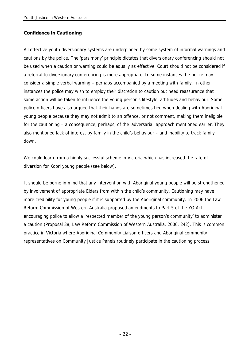#### **Confidence in Cautioning**

All effective youth diversionary systems are underpinned by some system of informal warnings and cautions by the police. The 'parsimony' principle dictates that diversionary conferencing should not be used when a caution or warning could be equally as effective. Court should not be considered if a referral to diversionary conferencing is more appropriate. In some instances the police may consider a simple verbal warning – perhaps accompanied by a meeting with family. In other instances the police may wish to employ their discretion to caution but need reassurance that some action will be taken to influence the young person's lifestyle, attitudes and behaviour. Some police officers have also argued that their hands are sometimes tied when dealing with Aboriginal young people because they may not admit to an offence, or not comment, making them ineligible for the cautioning – a consequence, perhaps, of the 'adversarial' approach mentioned earlier. They also mentioned lack of interest by family in the child's behaviour – and inability to track family down.

We could learn from a highly successful scheme in Victoria which has increased the rate of diversion for Koori young people (see below).

It should be borne in mind that any intervention with Aboriginal young people will be strengthened by involvement of appropriate Elders from within the child's community. Cautioning may have more credibility for young people if it is supported by the Aboriginal community. In 2006 the Law Reform Commission of Western Australia proposed amendments to Part 5 of the YO Act encouraging police to allow a 'respected member of the young person's community' to administer a caution (Proposal 38, Law Reform Commission of Western Australia, 2006, 242). This is common practice in Victoria where Aboriginal Community Liaison officers and Aboriginal community representatives on Community Justice Panels routinely participate in the cautioning process.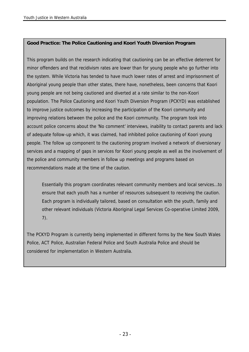#### **Good Practice: The Police Cautioning and Koori Youth Diversion Program**

This program builds on the research indicating that cautioning can be an effective deterrent for minor offenders and that recidivism rates are lower than for young people who go further into the system. While Victoria has tended to have much lower rates of arrest and imprisonment of Aboriginal young people than other states, there have, nonetheless, been concerns that Koori young people are not being cautioned and diverted at a rate similar to the non-Koori population. The Police Cautioning and Koori Youth Diversion Program (PCKYD) was established to improve justice outcomes by increasing the participation of the Koori community and improving relations between the police and the Koori community. The program took into account police concerns about the 'No comment' interviews, inability to contact parents and lack of adequate follow-up which, it was claimed, had inhibited police cautioning of Koori young people. The follow up component to the cautioning program involved a network of diversionary services and a mapping of gaps in services for Koori young people as well as the involvement of the police and community members in follow up meetings and programs based on recommendations made at the time of the caution.

Essentially this program coordinates relevant community members and local services…to ensure that each youth has a number of resources subsequent to receiving the caution. Each program is individually tailored, based on consultation with the youth, family and other relevant individuals (Victoria Aboriginal Legal Services Co-operative Limited 2009, 7).

The PCKYD Program is currently being implemented in different forms by the New South Wales Police, ACT Police, Australian Federal Police and South Australia Police and should be considered for implementation in Western Australia.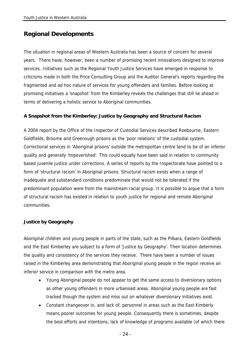### **Regional Developments**

The situation in regional areas of Western Australia has been a source of concern for several years. There have, however, been a number of promising recent innovations designed to improve services. Initiatives such as the Regional Youth Justice Services have emerged in response to criticisms made in both the Price Consulting Group and the Auditor General's reports regarding the fragmented and ad hoc nature of services for young offenders and families. Before looking at promising initiatives a 'snapshot' from the Kimberley reveals the challenges that still lie ahead in terms of delivering a holistic service to Aboriginal communities.

#### **A Snapshot from the Kimberley: Justice by Geography and Structural Racism**

A 2004 report by the Office of the Inspector of Custodial Services described Roebourne, Eastern Goldfields, Broome and Greenough prisons as the 'poor relations' of the custodial system. Correctional services in 'Aboriginal prisons' outside the metropolitan centre tend to be of an inferior quality and generally 'impoverished'. This could equally have been said in relation to community based juvenile justice under corrections. A series of reports by the Inspectorate have pointed to a form of 'structural racism' in Aboriginal prisons. Structural racism exists when a range of inadequate and substandard conditions predominate that would not be tolerated if the predominant population were from the mainstream racial group. It is possible to argue that a form of structural racism has existed in relation to youth justice for regional and remote Aboriginal communities.

#### **Justice by Geography**

Aboriginal children and young people in parts of the state, such as the Pilbara, Eastern Goldfields and the East Kimberley are subject to a form of 'Justice by Geography'. Their location determines the quality and consistency of the services they receive. There have been a number of issues raised in the Kimberley area demonstrating that Aboriginal young people in the region receive an inferior service in comparison with the metro area.

- Young Aboriginal people do not appear to get the same access to diversionary options as other young offenders in more urbanised areas. Aboriginal young people are fast tracked though the system and miss out on whatever diversionary initiatives exist.
- Constant changeover in, and lack of, personnel in areas such as the East Kimberly means poorer outcomes for young people. Consequently there is sometimes, despite the best efforts and intentions, lack of knowledge of programs available (of which there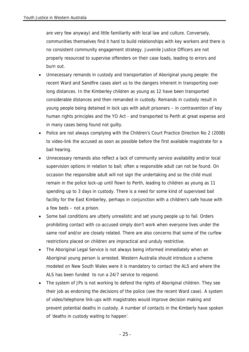are very few anyway) and little familiarity with local law and culture. Conversely, communities themselves find it hard to build relationships with key workers and there is no consistent community engagement strategy. Juvenile Justice Officers are not properly resourced to supervise offenders on their case loads, leading to errors and burn out.

- Unnecessary remands in custody and transportation of Aboriginal young people: the recent Ward and Sandfire cases alert us to the dangers inherent in transporting over long distances. In the Kimberley children as young as 12 have been transported considerable distances and then remanded in custody. Remands in custody result in young people being detained in lock ups with adult prisoners – in contravention of key human rights principles and the YO Act - and transported to Perth at great expense and in many cases being found not guilty.
- Police are not always complying with the Children's Court Practice Direction No 2 (2008) to video-link the accused as soon as possible before the first available magistrate for a bail hearing.
- Unnecessary remands also reflect a lack of community service availability and/or local supervision options in relation to bail; often a responsible adult can not be found. On occasion the responsible adult will not sign the undertaking and so the child must remain in the police lock-up until flown to Perth, leading to children as young as 11 spending up to 3 days in custody. There is a need for some kind of supervised bail facility for the East Kimberley, perhaps in conjunction with a children's safe house with a few beds – not a prison.
- Some bail conditions are utterly unrealistic and set young people up to fail. Orders prohibiting contact with co-accused simply don't work when everyone lives under the same roof and/or are closely related. There are also concerns that some of the curfew restrictions placed on children are impractical and unduly restrictive.
- The Aboriginal Legal Service is not always being informed immediately when an Aboriginal young person is arrested. Western Australia should introduce a scheme modeled on New South Wales were it is mandatory to contact the ALS and where the ALS has been funded to run a 24/7 service to respond.
- The system of JPs is not working to defend the rights of Aboriginal children. They see their job as endorsing the decisions of the police (see the recent Ward case). A system of video/telephone link-ups with magistrates would improve decision making and prevent potential deaths in custody. A number of contacts in the Kimberly have spoken of 'deaths in custody waiting to happen'.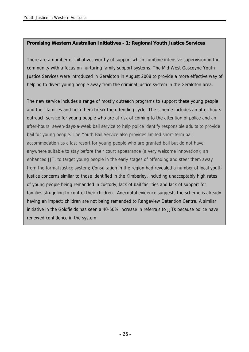#### **Promising Western Australian Initiatives - 1: Regional Youth Justice Services**

There are a number of initiatives worthy of support which combine intensive supervision in the community with a focus on nurturing family support systems. The Mid West Gascoyne Youth Justice Services were introduced in Geraldton in August 2008 to provide a more effective way of helping to divert young people away from the criminal justice system in the Geraldton area.

The new service includes a range of mostly outreach programs to support these young people and their families and help them break the offending cycle. The scheme includes an after-hours outreach service for young people who are at risk of coming to the attention of police and an after-hours, seven-days-a-week bail service to help police identify responsible adults to provide bail for young people. The Youth Bail Service also provides limited short-term bail accommodation as a last resort for young people who are granted bail but do not have anywhere suitable to stay before their court appearance (a very welcome innovation); an enhanced JJT, to target young people in the early stages of offending and steer them away from the formal justice system; Consultation in the region had revealed a number of local youth justice concerns similar to those identified in the Kimberley, including unacceptably high rates of young people being remanded in custody, lack of bail facilities and lack of support for families struggling to control their children. Anecdotal evidence suggests the scheme is already having an impact; children are not being remanded to Rangeview Detention Centre. A similar initiative in the Goldfields has seen a 40-50% increase in referrals to JJTs because police have renewed confidence in the system.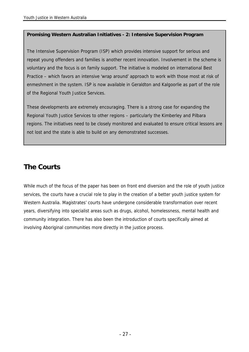#### **Promising Western Australian Initiatives - 2: Intensive Supervision Program**

The Intensive Supervision Program (ISP) which provides intensive support for serious and repeat young offenders and families is another recent innovation. Involvement in the scheme is voluntary and the focus is on family support. The initiative is modeled on international Best Practice – which favors an intensive 'wrap around' approach to work with those most at risk of enmeshment in the system. ISP is now available in Geraldton and Kalgoorlie as part of the role of the Regional Youth Justice Services.

These developments are extremely encouraging. There is a strong case for expanding the Regional Youth Justice Services to other regions – particularly the Kimberley and Pilbara regions. The initiatives need to be closely monitored and evaluated to ensure critical lessons are not lost and the state is able to build on any demonstrated successes.

# **The Courts**

While much of the focus of the paper has been on front end diversion and the role of youth justice services, the courts have a crucial role to play in the creation of a better youth justice system for Western Australia. Magistrates' courts have undergone considerable transformation over recent years, diversifying into specialist areas such as drugs, alcohol, homelessness, mental health and community integration. There has also been the introduction of courts specifically aimed at involving Aboriginal communities more directly in the justice process.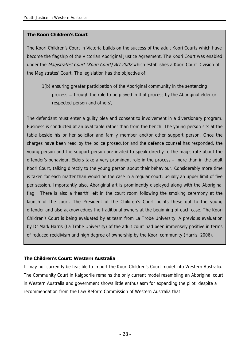#### **The Koori Children's Court**

The Koori Children's Court in Victoria builds on the success of the adult Koori Courts which have become the flagship of the Victorian Aboriginal Justice Agreement. The Koori Court was enabled under the Magistrates' Court (Koori Court) Act 2002 which establishes a Koori Court Division of the Magistrates' Court. The legislation has the objective of:

1(b) ensuring greater participation of the Aboriginal community in the sentencing process….through the role to be played in that process by the Aboriginal elder or respected person and others',

The defendant must enter a guilty plea and consent to involvement in a diversionary program. Business is conducted at an oval table rather than from the bench. The young person sits at the table beside his or her solicitor and family member and/or other support person. Once the charges have been read by the police prosecutor and the defence counsel has responded, the young person and the support person are invited to speak directly to the magistrate about the offender's behaviour. Elders take a very prominent role in the process – more than in the adult Koori Court, talking directly to the young person about their behaviour. Considerably more time is taken for each matter than would be the case in a regular court: usually an upper limit of five per session. Importantly also, Aboriginal art is prominently displayed along with the Aboriginal flag. There is also a 'hearth' left in the court room following the smoking ceremony at the launch of the court. The President of the Children's Court points these out to the young offender and also acknowledges the traditional owners at the beginning of each case. The Koori Children's Court is being evaluated by at team from La Trobe University. A previous evaluation by Dr Mark Harris (La Trobe University) of the adult court had been immensely positive in terms of reduced recidivism and high degree of ownership by the Koori community (Harris, 2006).

#### **The Children's Court: Western Australia**

It may not currently be feasible to import the Koori Children's Court model into Western Australia. The Community Court in Kalgoorlie remains the only current model resembling an Aboriginal court in Western Australia and government shows little enthusiasm for expanding the pilot, despite a recommendation from the Law Reform Commission of Western Australia that: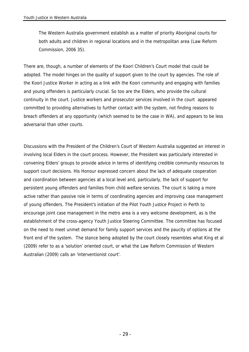The Western Australia government establish as a matter of priority Aboriginal courts for both adults and children in regional locations and in the metropolitan area (Law Reform Commission, 2006 35).

There are, though, a number of elements of the Koori Children's Court model that could be adopted. The model hinges on the quality of support given to the court by agencies. The role of the Koori Justice Worker in acting as a link with the Koori community and engaging with families and young offenders is particularly crucial. So too are the Elders, who provide the cultural continuity in the court. Justice workers and prosecutor services involved in the court appeared committed to providing alternatives to further contact with the system, not finding reasons to breach offenders at any opportunity (which seemed to be the case in WA), and appears to be less adversarial than other courts.

Discussions with the President of the Children's Court of Western Australia suggested an interest in involving local Elders in the court process. However, the President was particularly interested in convening Elders' groups to provide advice in terms of identifying credible community resources to support court decisions. His Honour expressed concern about the lack of adequate cooperation and coordination between agencies at a local level and, particularly, the lack of support for persistent young offenders and families from child welfare services. The court is taking a more active rather than passive role in terms of coordinating agencies and improving case management of young offenders. The President's initiation of the Pilot Youth Justice Project in Perth to encourage joint case management in the metro area is a very welcome development, as is the establishment of the cross-agency Youth Justice Steering Committee. The committee has focused on the need to meet unmet demand for family support services and the paucity of options at the front end of the system. The stance being adopted by the court closely resembles what King et al (2009) refer to as a 'solution' oriented court, or what the Law Reform Commission of Western Australian (2009) calls an 'interventionist court'.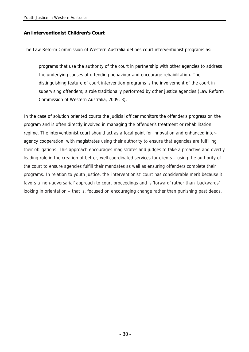#### **An Interventionist Children's Court**

The Law Reform Commission of Western Australia defines court interventionist programs as:

programs that use the authority of the court in partnership with other agencies to address the underlying causes of offending behaviour and encourage rehabilitation. The distinguishing feature of court intervention programs is the involvement of the court in supervising offenders; a role traditionally performed by other justice agencies (Law Reform Commission of Western Australia, 2009, 3).

In the case of solution oriented courts the judicial officer monitors the offender's progress on the program and is often directly involved in managing the offender's treatment or rehabilitation regime. The interventionist court should act as a focal point for innovation and enhanced interagency cooperation, with magistrates using their authority to ensure that agencies are fulfilling their obligations. This approach encourages magistrates and judges to take a proactive and overtly leading role in the creation of better, well coordinated services for clients – using the authority of the court to ensure agencies fulfill their mandates as well as ensuring offenders complete their programs. In relation to youth justice, the 'interventionist' court has considerable merit because it favors a 'non-adversarial' approach to court proceedings and is 'forward' rather than 'backwards' looking in orientation – that is, focused on encouraging change rather than punishing past deeds.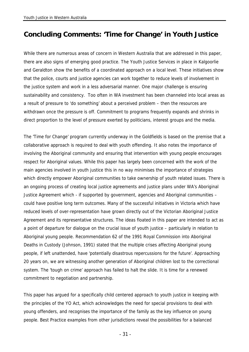# **Concluding Comments: 'Time for Change' in Youth Justice**

While there are numerous areas of concern in Western Australia that are addressed in this paper, there are also signs of emerging good practice. The Youth Justice Services in place in Kalgoorlie and Geraldton show the benefits of a coordinated approach on a local level. These initiatives show that the police, courts and justice agencies can work together to reduce levels of involvement in the justice system and work in a less adversarial manner. One major challenge is ensuring sustainability and consistency. Too often in WA investment has been channeled into local areas as a result of pressure to 'do something' about a perceived problem – then the resources are withdrawn once the pressure is off. Commitment to programs frequently expands and shrinks in direct proportion to the level of pressure exerted by politicians, interest groups and the media.

The 'Time for Change' program currently underway in the Goldfields is based on the premise that a collaborative approach is required to deal with youth offending. It also notes the importance of involving the Aboriginal community and ensuring that intervention with young people encourages respect for Aboriginal values. While this paper has largely been concerned with the work of the main agencies involved in youth justice this in no way minimises the importance of strategies which directly empower Aboriginal communities to take ownership of youth related issues. There is an ongoing process of creating local justice agreements and justice plans under WA's Aboriginal Justice Agreement which - if supported by government, agencies and Aboriginal communities – could have positive long term outcomes. Many of the successful initiatives in Victoria which have reduced levels of over-representation have grown directly out of the Victorian Aboriginal Justice Agreement and its representative structures. The ideas floated in this paper are intended to act as a point of departure for dialogue on the crucial issue of youth justice – particularly in relation to Aboriginal young people. Recommendation 62 of the 1991 Royal Commission into Aboriginal Deaths in Custody (Johnson, 1991) stated that the multiple crises affecting Aboriginal young people, if left unattended, have 'potentially disastrous repercussions for the future'. Approaching 20 years on, we are witnessing another generation of Aboriginal children lost to the correctional system. The 'tough on crime' approach has failed to halt the slide. It is time for a renewed commitment to negotiation and partnership.

This paper has argued for a specifically child centered approach to youth justice in keeping with the principles of the YO Act, which acknowledges the need for special provisions to deal with young offenders, and recognises the importance of the family as the key influence on young people. Best Practice examples from other jurisdictions reveal the possibilities for a balanced

- 31 -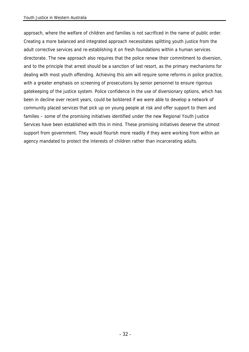approach, where the welfare of children and families is not sacrificed in the name of public order. Creating a more balanced and integrated approach necessitates splitting youth justice from the adult corrective services and re-establishing it on fresh foundations within a human services directorate. The new approach also requires that the police renew their commitment to diversion, and to the principle that arrest should be a sanction of last resort, as the primary mechanisms for dealing with most youth offending. Achieving this aim will require some reforms in police practice, with a greater emphasis on screening of prosecutions by senior personnel to ensure rigorous gatekeeping of the justice system. Police confidence in the use of diversionary options, which has been in decline over recent years, could be bolstered if we were able to develop a network of community placed services that pick up on young people at risk and offer support to them and families – some of the promising initiatives identified under the new Regional Youth Justice Services have been established with this in mind. These promising initiatives deserve the utmost support from government. They would flourish more readily if they were working from within an agency mandated to protect the interests of children rather than incarcerating adults.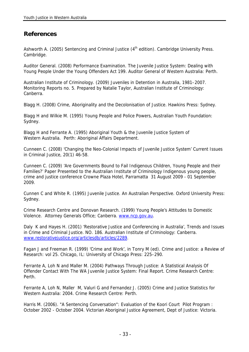### **References**

Ashworth A. (2005) Sentencing and Criminal Justice  $(4<sup>th</sup>$  edition). Cambridge University Press. Cambridge.

Auditor General. (2008) Performance Examination. The Juvenile Justice System: Dealing with Young People Under the Young Offenders Act 199. Auditor General of Western Australia: Perth.

Australian Institute of Criminology. (2009) Juveniles in Detention in Australia, 1981–2007. Monitoring Reports no. 5. Prepared by Natalie Taylor, Australian Institute of Criminology: Canberra.

Blagg H. (2008) Crime, Aboriginality and the Decolonisation of Justice. Hawkins Press: Sydney.

Blagg H and Wilkie M. (1995) Young People and Police Powers, Australian Youth Foundation: Sydney.

Blagg H and Ferrante A. (1995) Aboriginal Youth & the Juvenile Justice System of Western Australia. Perth: Aboriginal Affairs Department.

Cunneen C. (2008) 'Changing the Neo-Colonial Impacts of Juvenile Justice System' Current Issues in Criminal Justice, 20(1) 46-58.

Cunneen C. (2009) 'Are Governments Bound to Fail Indigenous Children, Young People and their Families?' Paper Presented to the Australian Institute of Criminology Indigenous young people, crime and justice conference Crowne Plaza Hotel, Parramatta 31 August 2009 - 01 September 2009.

Cunnen C and White R. (1995) Juvenile Justice. An Australian Perspective. Oxford University Press: Sydney.

Crime Research Centre and Donovan Research. (1999) Young People's Attitudes to Domestic Violence. Attorney Generals Office; Canberra. [www.ncp.gov.au](http://www.ncp.gov.au/).

Daly K and Hayes H. (2001) 'Restorative Justice and Conferencing in Australia', Trends and Issues in Crime and Criminal Justice. NO. 186. Australian Institute of Criminology: Canberra. [www.restorativejustice.org/articlesdb/articles/2289.](http://www.restorativejustice.org/articlesdb/articles/2289)

Fagan J and Freeman R. (1999) 'Crime and Work', in Tonry M (ed). Crime and Justice: a Review of Research: vol 25. Chicago, IL: University of Chicago Press: 225–290.

Ferrante A, Loh N and Maller M. (2004) Pathways Through Justice: A Statistical Analysis Of Offender Contact With The WA Juvenile Justice System: Final Report. Crime Research Centre: Perth.

Ferrante A, Loh N, Maller M, Valuri G and Fernandez J. (2005) Crime and Justice Statistics for Western Australia: 2004. Crime Research Centre: Perth.

Harris M. (2006). "A Sentencing Conversation": Evaluation of the Koori Court Pilot Program : October 2002 - October 2004. Victorian Aboriginal Justice Agreement, Dept of Justice: Victoria.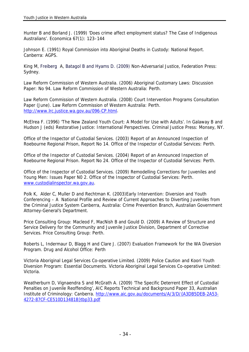Hunter B and Borland J. (1999) 'Does crime affect employment status? The Case of Indigenous Australians'. Economica 67(1): 123–144

Johnson E. (1991) Royal Commission into Aboriginal Deaths in Custody: National Report. Canberra: AGPS.

King M, Freiberg A, Batagol B and Hyams D. (2009) Non-Adversarial Justice, Federation Press: Sydney.

Law Reform Commission of Western Australia. (2006) Aboriginal Customary Laws: Discussion Paper: No 94. Law Reform Commission of Western Australia: Perth.

Law Reform Commission of Western Australia. (2008) Court Intervention Programs Consultation Paper (June). Law Reform Commission of Western Australia: Perth. [http://www.lrc.justice.wa.gov.au/096-CP.html.](http://www.lrc.justice.wa.gov.au/096-CP.html)

McElrea F. (1996) 'The New Zealand Youth Court: A Model for Use with Adults'. In Galaway B and Hudson J (eds) Restorative Justice: International Perspectives. Criminal Justice Press: Monsey, NY.

Office of the Inspector of Custodial Services. (2003) Report of an Announced Inspection of Roebourne Regional Prison, Report No 14. Office of the Inspector of Custodial Services: Perth.

Office of the Inspector of Custodial Services. (2004) Report of an Announced Inspection of Roebourne Regional Prison. Report No 24. Office of the Inspector of Custodial Services: Perth.

Office of the Inspector of Custodial Services. (2009) Remodelling Corrections for Juveniles and Young Men: Issues Paper N0 2. Office of the Inspector of Custodial Services: Perth. [www.custodialinspector.wa.gov.au.](http://www.custodialinspector.wa.gov.au/)

Polk K, Alder C, Muller D and Rechtman K. (2003)Early Intervention: Diversion and Youth Conferencing – A National Profile and Review of Current Approaches to Diverting Juveniles from the Criminal Justice System Canberra, Australia: Crime Prevention Branch, Australian Government Attorney-General's Department.

Price Consulting Group: Macleod F, MacNish B and Gould D. (2009) A Review of Structure and Service Delivery for the Community and Juvenile Justice Division, Department of Corrective Services. Price Consulting Group: Perth.

Roberts L, Indermaur D, Blagg H and Clare J. (2007) Evaluation Framework for the WA Diversion Program. Drug and Alcohol Office: Perth

Victoria Aboriginal Legal Services Co-operative Limited. (2009) Police Caution and Koori Youth Diversion Program: Essential Documents. Victoria Aboriginal Legal Services Co-operative Limited: Victoria.

Weatherburn D, Vignaendra S and McGrath A. (2009) 'The Specific Deterrent Effect of Custodial Penalties on Juvenile Reoffending', AIC Reports Technical and Background Paper 33, Australian Institute of Criminology: Canberra. [http://www.aic.gov.au/documents/A/3/D/{A3DB5DEB-2A53-](http://www.aic.gov.au/documents/A/3/D/%7BA3DB5DEB-2A53-4272-87CF-CE510D13481B%7Dtbp33.pdf) [4272-87CF-CE510D13481B}tbp33.pdf](http://www.aic.gov.au/documents/A/3/D/%7BA3DB5DEB-2A53-4272-87CF-CE510D13481B%7Dtbp33.pdf)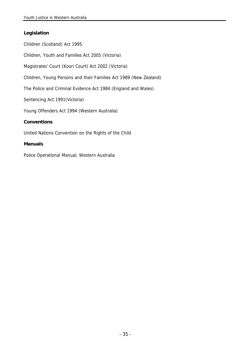#### **Legislation**

Children (Scotland) Act 1995 Children, Youth and Families Act 2005 (Victoria) Magistrates' Court (Koori Court) Act 2002 (Victoria) Children, Young Persons and their Families Act 1989 (New Zealand) The Police and Criminal Evidence Act 1984 (England and Wales) Sentencing Act 1991(Victoria) Young Offenders Act 1994 (Western Australia) **Conventions**  United Nations Convention on the Rights of the Child

#### **Manuals**

Police Operational Manual, Western Australia